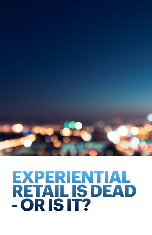

## **EXPERIENTIAL RETAIL IS DEAD - OR IS IT?**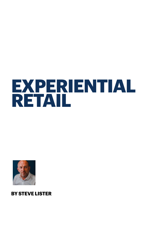# **EXPERIENTIAL RETAIL**



**BY STEVE LISTER**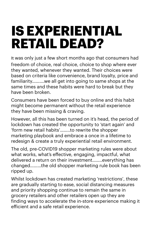### **IS EXPERIENTIAL RETAIL DEAD?**

It was only just a few short months ago that consumers had freedom of choice, real choice, choice to shop where ever they wanted, whenever they wanted. Their choices were based on criteria like convenience, brand loyalty, price and familiarity……….we all get into going to same shops at the same times and these habits were hard to break but they have been broken.

Consumers have been forced to buy online and this habit might become permanent without the retail experience they have been missing & craving.

However, all this has been turned on it's head, the period of lockdown has created the opportunity to 'start again' and 'form new retail habits'……..to rewrite the shopper marketing playbook and embrace a once in a lifetime to redesign & create a truly experiential retail environment.

The old, pre-COVID19 shopper marketing rules were about what works, what's effective, engaging, impactful, what delivered a return on their investment……..everything has changed………the old shopper marketing rule book has been ripped up.

Whilst lockdown has created marketing 'restrictions', these are gradually starting to ease, social distancing measures and priority shopping continue to remain the same in grocery retailers and other retailers open up they are finding ways to accelerate the in-store experience making it eficient and a safe retail experience.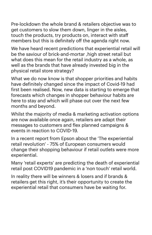Pre-lockdown the whole brand & retailers objective was to get customers to slow them down, linger in the aisles, touch the products, try products on, interact with staff members but this is definitely off the agenda right now.

We have heard recent predictions that experiential retail will be the saviour of brick-and-mortar ,high street retail but what does this mean for the retail industry as a whole, as well as the brands that have already invested big in the physical retail store strategy?

What we do now know is that shopper priorities and habits have definitely changed since the impact of Covid-19 had first been realised. Now, new data is starting to emerge that forecasts which changes in shopper behaviour habits are here to stay and which will phase out over the next few months and beyond.

Whilst the majority of media & marketing activation options are now available once again, retailers are adapt their messages to customers and flex planned campaigns & events in reaction to COVID-19.

In a recent report from Epson about the 'The experiential retail revolution' - 75% of European consumers would change their shopping behaviour if retail outlets were more experiential.

Many 'retail experts' are predicting the death of experiential retail post COVID19 pandemic in a 'non touch' retail world.

In reality there will be winners & losers and if brands & retailers get this right, it's their opportunity to create the experiential retail that consumers have be waiting for.